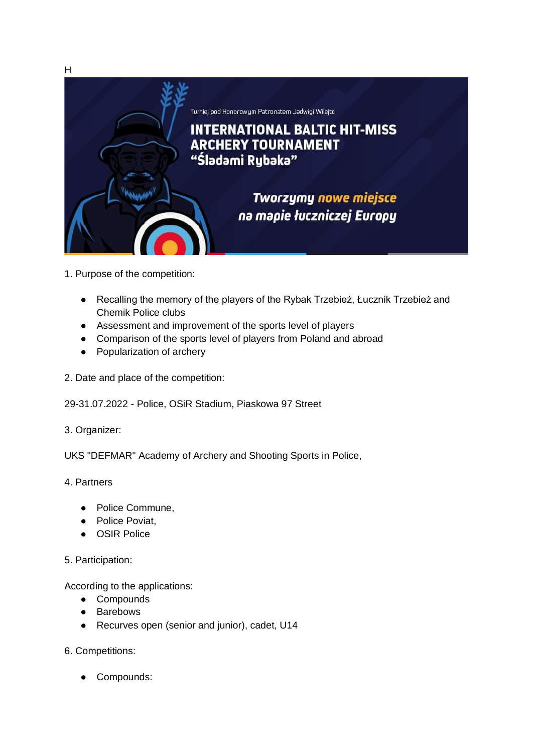

- 1. Purpose of the competition:
	- Recalling the memory of the players of the Rybak Trzebież, Łucznik Trzebież and Chemik Police clubs
	- Assessment and improvement of the sports level of players
	- Comparison of the sports level of players from Poland and abroad
	- Popularization of archery
- 2. Date and place of the competition:
- 29-31.07.2022 Police, OSiR Stadium, Piaskowa 97 Street
- 3. Organizer:

UKS "DEFMAR" Academy of Archery and Shooting Sports in Police,

- 4. Partners
	- Police Commune,
	- Police Poviat,
	- OSIR Police
- 5. Participation:

According to the applications:

- Compounds
- Barebows
- Recurves open (senior and junior), cadet, U14
- 6. Competitions:
	- Compounds: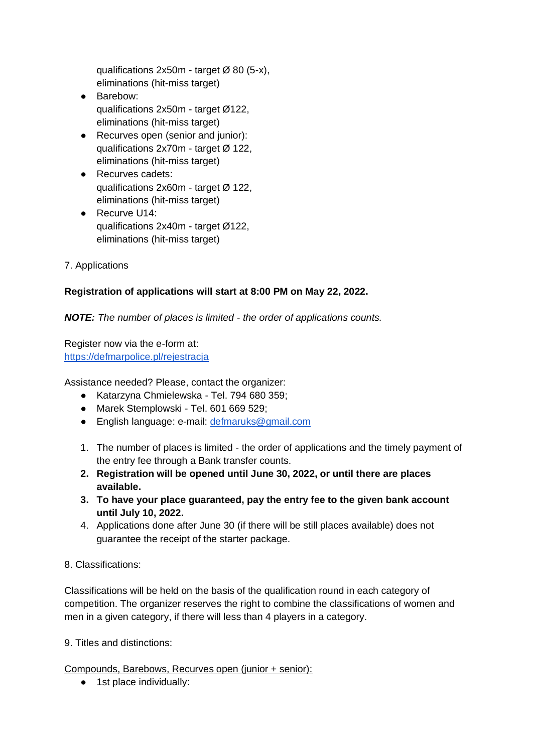qualifications  $2x50m -$  target  $\varnothing$  80 (5-x), eliminations (hit-miss target)

- Barebow: qualifications 2x50m - target Ø122, eliminations (hit-miss target)
- Recurves open (senior and junior): qualifications 2x70m - target Ø 122, eliminations (hit-miss target)
- Recurves cadets: qualifications 2x60m - target Ø 122, eliminations (hit-miss target)
- Recurve U14: qualifications 2x40m - target Ø122, eliminations (hit-miss target)
- 7. Applications

# **Registration of applications will start at 8:00 PM on May 22, 2022.**

*NOTE: The number of places is limited - the order of applications counts.*

Register now via the e-form at: <https://defmarpolice.pl/rejestracja>

Assistance needed? Please, contact the organizer:

- Katarzyna Chmielewska Tel. 794 680 359;
- Marek Stemplowski Tel. 601 669 529;
- English language: e-mail: [defmaruks@gmail.com](mailto:defmaruks@gmail.com)
- 1. The number of places is limited the order of applications and the timely payment of the entry fee through a Bank transfer counts.
- **2. Registration will be opened until June 30, 2022, or until there are places available.**
- **3. To have your place guaranteed, pay the entry fee to the given bank account until July 10, 2022.**
- 4. Applications done after June 30 (if there will be still places available) does not guarantee the receipt of the starter package.

8. Classifications:

Classifications will be held on the basis of the qualification round in each category of competition. The organizer reserves the right to combine the classifications of women and men in a given category, if there will less than 4 players in a category.

9. Titles and distinctions:

Compounds, Barebows, Recurves open (junior + senior):

● 1st place individually: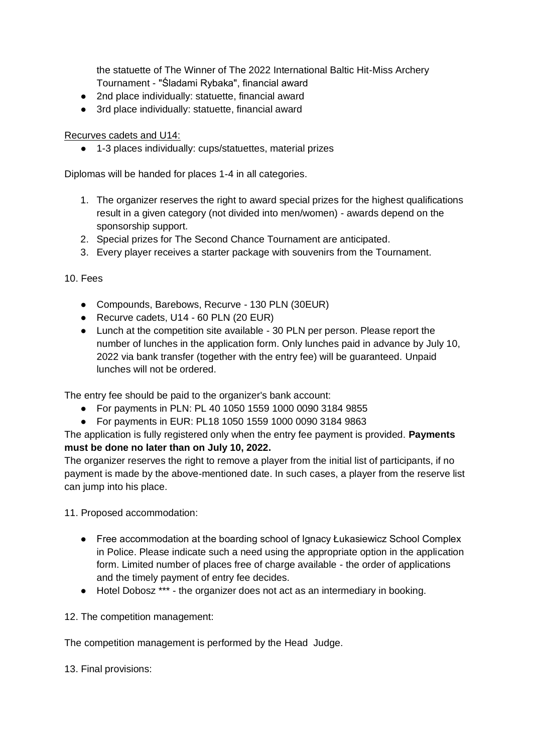the statuette of The Winner of The 2022 International Baltic Hit-Miss Archery Tournament - "Śladami Rybaka", financial award

- 2nd place individually: statuette, financial award
- 3rd place individually: statuette, financial award

## Recurves cadets and U14:

● 1-3 places individually: cups/statuettes, material prizes

Diplomas will be handed for places 1-4 in all categories.

- 1. The organizer reserves the right to award special prizes for the highest qualifications result in a given category (not divided into men/women) - awards depend on the sponsorship support.
- 2. Special prizes for The Second Chance Tournament are anticipated.
- 3. Every player receives a starter package with souvenirs from the Tournament.

10. Fees

- Compounds, Barebows, Recurve 130 PLN (30EUR)
- Recurve cadets, U14 60 PLN (20 EUR)
- Lunch at the competition site available 30 PLN per person. Please report the number of lunches in the application form. Only lunches paid in advance by July 10, 2022 via bank transfer (together with the entry fee) will be guaranteed. Unpaid lunches will not be ordered.

The entry fee should be paid to the organizer's bank account:

- For payments in PLN: PL 40 1050 1559 1000 0090 3184 9855
- For payments in EUR: PL18 1050 1559 1000 0090 3184 9863

The application is fully registered only when the entry fee payment is provided. **Payments must be done no later than on July 10, 2022.**

The organizer reserves the right to remove a player from the initial list of participants, if no payment is made by the above-mentioned date. In such cases, a player from the reserve list can jump into his place.

11. Proposed accommodation:

- Free accommodation at the boarding school of Ignacy Łukasiewicz School Complex in Police. Please indicate such a need using the appropriate option in the application form. Limited number of places free of charge available - the order of applications and the timely payment of entry fee decides.
- Hotel Dobosz \*\*\* the organizer does not act as an intermediary in booking.

12. The competition management:

The competition management is performed by the Head Judge.

13. Final provisions: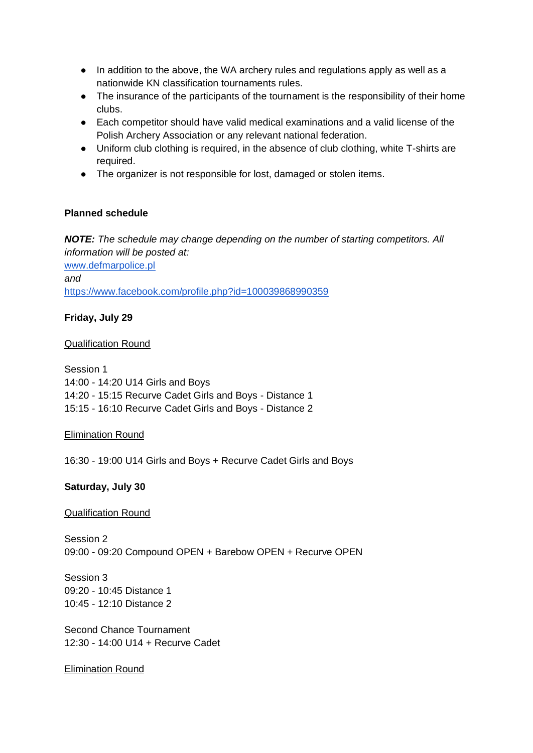- In addition to the above, the WA archery rules and regulations apply as well as a nationwide KN classification tournaments rules.
- The insurance of the participants of the tournament is the responsibility of their home clubs.
- Each competitor should have valid medical examinations and a valid license of the Polish Archery Association or any relevant national federation.
- Uniform club clothing is required, in the absence of club clothing, white T-shirts are required.
- The organizer is not responsible for lost, damaged or stolen items.

## **Planned schedule**

*NOTE: The schedule may change depending on the number of starting competitors. All information will be posted at:* [www.defmarpolice.pl](http://www.defmarpolice.pl/)  *and* [https://www.facebook.com/profile.php?id=100039868990359](http://www.defmarpolice.pl/)

## **Friday, July 29**

#### Qualification Round

Session 1 14:00 - 14:20 U14 Girls and Boys 14:20 - 15:15 Recurve Cadet Girls and Boys - Distance 1 15:15 - 16:10 Recurve Cadet Girls and Boys - Distance 2

#### Elimination Round

16:30 - 19:00 U14 Girls and Boys + Recurve Cadet Girls and Boys

#### **Saturday, July 30**

#### Qualification Round

Session 2 09:00 - 09:20 Compound OPEN + Barebow OPEN + Recurve OPEN

Session 3 09:20 - 10:45 Distance 1 10:45 - 12:10 Distance 2

Second Chance Tournament 12:30 - 14:00 U14 + Recurve Cadet

#### Elimination Round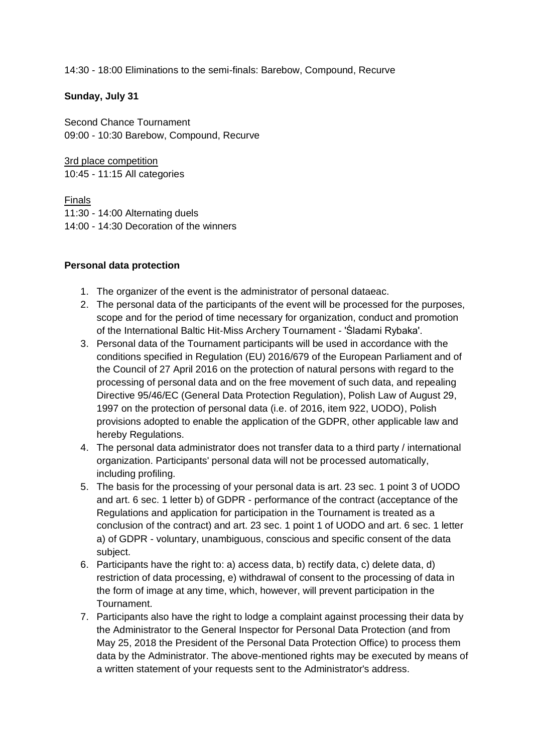14:30 - 18:00 Eliminations to the semi-finals: Barebow, Compound, Recurve

## **Sunday, July 31**

Second Chance Tournament 09:00 - 10:30 Barebow, Compound, Recurve

3rd place competition 10:45 - 11:15 All categories

**Finals** 11:30 - 14:00 Alternating duels 14:00 - 14:30 Decoration of the winners

## **Personal data protection**

- 1. The organizer of the event is the administrator of personal dataeac.
- 2. The personal data of the participants of the event will be processed for the purposes, scope and for the period of time necessary for organization, conduct and promotion of the International Baltic Hit-Miss Archery Tournament - 'Śladami Rybaka'.
- 3. Personal data of the Tournament participants will be used in accordance with the conditions specified in Regulation (EU) 2016/679 of the European Parliament and of the Council of 27 April 2016 on the protection of natural persons with regard to the processing of personal data and on the free movement of such data, and repealing Directive 95/46/EC (General Data Protection Regulation), Polish Law of August 29, 1997 on the protection of personal data (i.e. of 2016, item 922, UODO), Polish provisions adopted to enable the application of the GDPR, other applicable law and hereby Regulations.
- 4. The personal data administrator does not transfer data to a third party / international organization. Participants' personal data will not be processed automatically, including profiling.
- 5. The basis for the processing of your personal data is art. 23 sec. 1 point 3 of UODO and art. 6 sec. 1 letter b) of GDPR - performance of the contract (acceptance of the Regulations and application for participation in the Tournament is treated as a conclusion of the contract) and art. 23 sec. 1 point 1 of UODO and art. 6 sec. 1 letter a) of GDPR - voluntary, unambiguous, conscious and specific consent of the data subject.
- 6. Participants have the right to: a) access data, b) rectify data, c) delete data, d) restriction of data processing, e) withdrawal of consent to the processing of data in the form of image at any time, which, however, will prevent participation in the Tournament.
- 7. Participants also have the right to lodge a complaint against processing their data by the Administrator to the General Inspector for Personal Data Protection (and from May 25, 2018 the President of the Personal Data Protection Office) to process them data by the Administrator. The above-mentioned rights may be executed by means of a written statement of your requests sent to the Administrator's address.